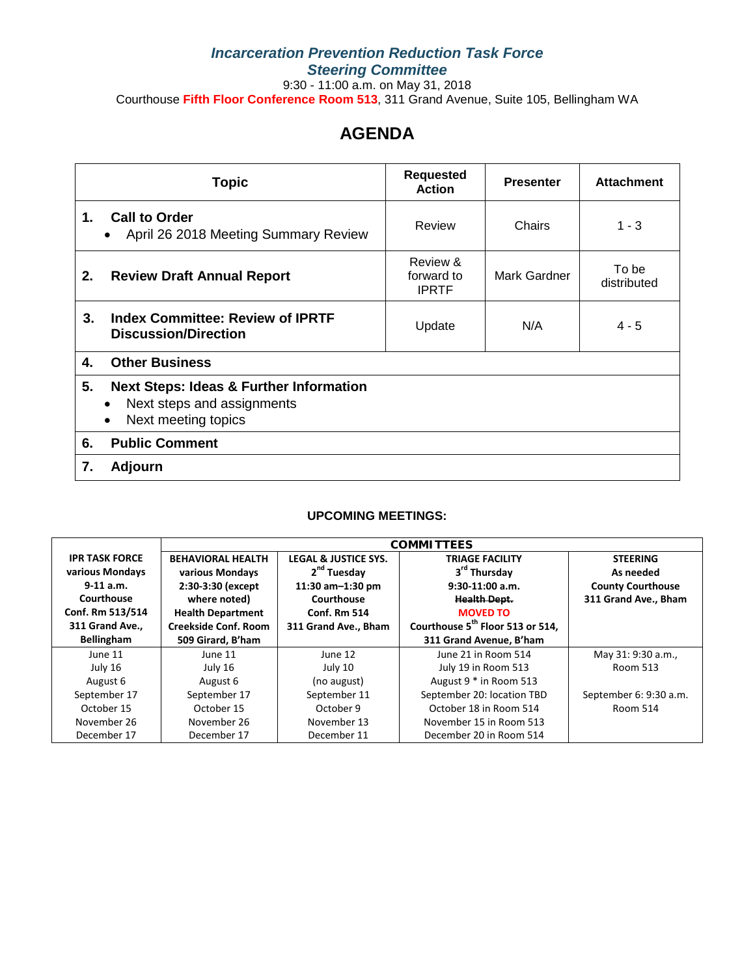## *Incarceration Prevention Reduction Task Force Steering Committee*

9:30 - 11:00 a.m. on May 31, 2018

Courthouse **Fifth Floor Conference Room 513**, 311 Grand Avenue, Suite 105, Bellingham WA

## **AGENDA**

| <b>Topic</b>                 |                                                                                                         | <b>Requested</b><br><b>Action</b>      | <b>Presenter</b> | <b>Attachment</b>    |
|------------------------------|---------------------------------------------------------------------------------------------------------|----------------------------------------|------------------|----------------------|
| $\mathbf{1}$ .               | <b>Call to Order</b><br>April 26 2018 Meeting Summary Review                                            | Review                                 | Chairs           | $1 - 3$              |
| 2.                           | <b>Review Draft Annual Report</b>                                                                       | Review &<br>forward to<br><b>IPRTF</b> | Mark Gardner     | To be<br>distributed |
| 3.                           | <b>Index Committee: Review of IPRTF</b><br><b>Discussion/Direction</b>                                  | Update                                 | N/A              | $4 - 5$              |
| 4.                           | <b>Other Business</b>                                                                                   |                                        |                  |                      |
| 5.<br>$\bullet$<br>$\bullet$ | <b>Next Steps: Ideas &amp; Further Information</b><br>Next steps and assignments<br>Next meeting topics |                                        |                  |                      |
| 6.                           | <b>Public Comment</b>                                                                                   |                                        |                  |                      |
| 7.                           | Adjourn                                                                                                 |                                        |                  |                      |

## **UPCOMING MEETINGS:**

|                       | <b>COMMITTEES</b>           |                                 |                                              |                          |  |
|-----------------------|-----------------------------|---------------------------------|----------------------------------------------|--------------------------|--|
| <b>IPR TASK FORCE</b> | <b>BEHAVIORAL HEALTH</b>    | <b>LEGAL &amp; JUSTICE SYS.</b> | <b>TRIAGE FACILITY</b>                       | <b>STEERING</b>          |  |
| various Mondays       | various Mondays             | 2 <sup>nd</sup> Tuesday         | 3 <sup>rd</sup> Thursday                     | As needed                |  |
| $9-11$ a.m.           | 2:30-3:30 (except           | 11:30 $am-1:30$ pm              | $9:30-11:00$ a.m.                            | <b>County Courthouse</b> |  |
| Courthouse            | where noted)                | Courthouse                      | <b>Health Dept.</b>                          | 311 Grand Ave., Bham     |  |
| Conf. Rm 513/514      | <b>Health Department</b>    | <b>Conf. Rm 514</b>             | <b>MOVED TO</b>                              |                          |  |
| 311 Grand Ave.,       | <b>Creekside Conf. Room</b> | 311 Grand Ave., Bham            | Courthouse 5 <sup>th</sup> Floor 513 or 514, |                          |  |
| <b>Bellingham</b>     | 509 Girard, B'ham           |                                 | 311 Grand Avenue, B'ham                      |                          |  |
| June 11               | June 11                     | June 12                         | June 21 in Room 514                          | May 31: 9:30 a.m.,       |  |
| July 16               | July 16                     | July 10                         | July 19 in Room 513                          | Room 513                 |  |
| August 6              | August 6                    | (no august)                     | August 9 * in Room 513                       |                          |  |
| September 17          | September 17                | September 11                    | September 20: location TBD                   | September 6: 9:30 a.m.   |  |
| October 15            | October 15                  | October 9                       | October 18 in Room 514                       | Room 514                 |  |
| November 26           | November 26                 | November 13                     | November 15 in Room 513                      |                          |  |
| December 17           | December 17                 | December 11                     | December 20 in Room 514                      |                          |  |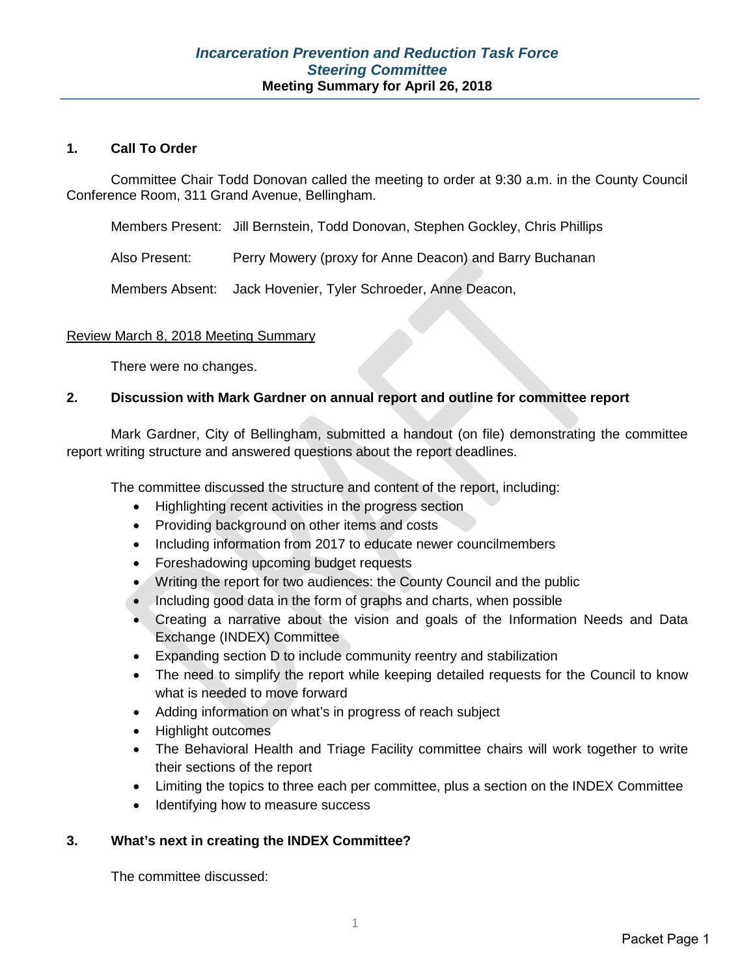## **1. Call To Order**

Committee Chair Todd Donovan called the meeting to order at 9:30 a.m. in the County Council Conference Room, 311 Grand Avenue, Bellingham.

Members Present: Jill Bernstein, Todd Donovan, Stephen Gockley, Chris Phillips

Also Present: Perry Mowery (proxy for Anne Deacon) and Barry Buchanan

Members Absent: Jack Hovenier, Tyler Schroeder, Anne Deacon,

## Review March 8, 2018 Meeting Summary

There were no changes.

## **2. Discussion with Mark Gardner on annual report and outline for committee report**

Mark Gardner, City of Bellingham, submitted a handout (on file) demonstrating the committee report writing structure and answered questions about the report deadlines.

The committee discussed the structure and content of the report, including:

- Highlighting recent activities in the progress section
- Providing background on other items and costs
- Including information from 2017 to educate newer councilmembers
- Foreshadowing upcoming budget requests
- Writing the report for two audiences: the County Council and the public
- Including good data in the form of graphs and charts, when possible
- Creating a narrative about the vision and goals of the Information Needs and Data Exchange (INDEX) Committee
- Expanding section D to include community reentry and stabilization
- The need to simplify the report while keeping detailed requests for the Council to know what is needed to move forward
- Adding information on what's in progress of reach subject
- Highlight outcomes
- The Behavioral Health and Triage Facility committee chairs will work together to write their sections of the report
- Limiting the topics to three each per committee, plus a section on the INDEX Committee
- Identifying how to measure success

## **3. What's next in creating the INDEX Committee?**

The committee discussed: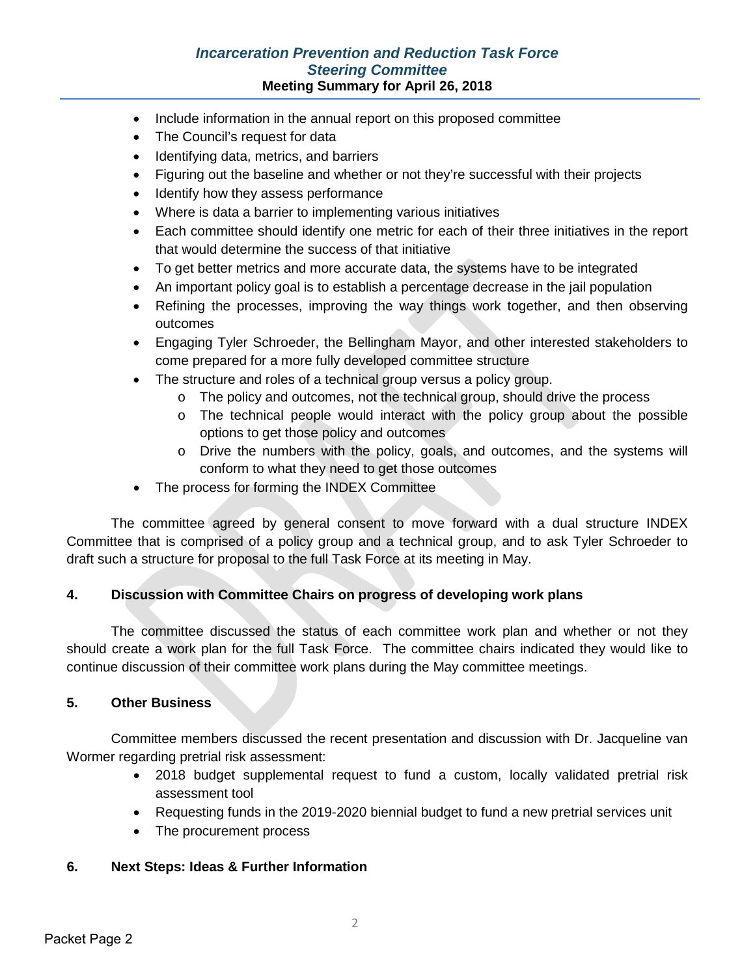## *Incarceration Prevention and Reduction Task Force Steering Committee* **Meeting Summary for April 26, 2018**

- Include information in the annual report on this proposed committee
- The Council's request for data
- Identifying data, metrics, and barriers
- Figuring out the baseline and whether or not they're successful with their projects
- Identify how they assess performance
- Where is data a barrier to implementing various initiatives
- Each committee should identify one metric for each of their three initiatives in the report that would determine the success of that initiative
- To get better metrics and more accurate data, the systems have to be integrated
- An important policy goal is to establish a percentage decrease in the jail population
- Refining the processes, improving the way things work together, and then observing outcomes
- Engaging Tyler Schroeder, the Bellingham Mayor, and other interested stakeholders to come prepared for a more fully developed committee structure
- The structure and roles of a technical group versus a policy group.
	- $\circ$  The policy and outcomes, not the technical group, should drive the process
	- o The technical people would interact with the policy group about the possible options to get those policy and outcomes
	- o Drive the numbers with the policy, goals, and outcomes, and the systems will conform to what they need to get those outcomes
- The process for forming the INDEX Committee

The committee agreed by general consent to move forward with a dual structure INDEX Committee that is comprised of a policy group and a technical group, and to ask Tyler Schroeder to draft such a structure for proposal to the full Task Force at its meeting in May.

## **4. Discussion with Committee Chairs on progress of developing work plans**

The committee discussed the status of each committee work plan and whether or not they should create a work plan for the full Task Force. The committee chairs indicated they would like to continue discussion of their committee work plans during the May committee meetings.

## **5. Other Business**

Committee members discussed the recent presentation and discussion with Dr. Jacqueline van Wormer regarding pretrial risk assessment:

- 2018 budget supplemental request to fund a custom, locally validated pretrial risk assessment tool
- Requesting funds in the 2019-2020 biennial budget to fund a new pretrial services unit
- The procurement process

## **6. Next Steps: Ideas & Further Information**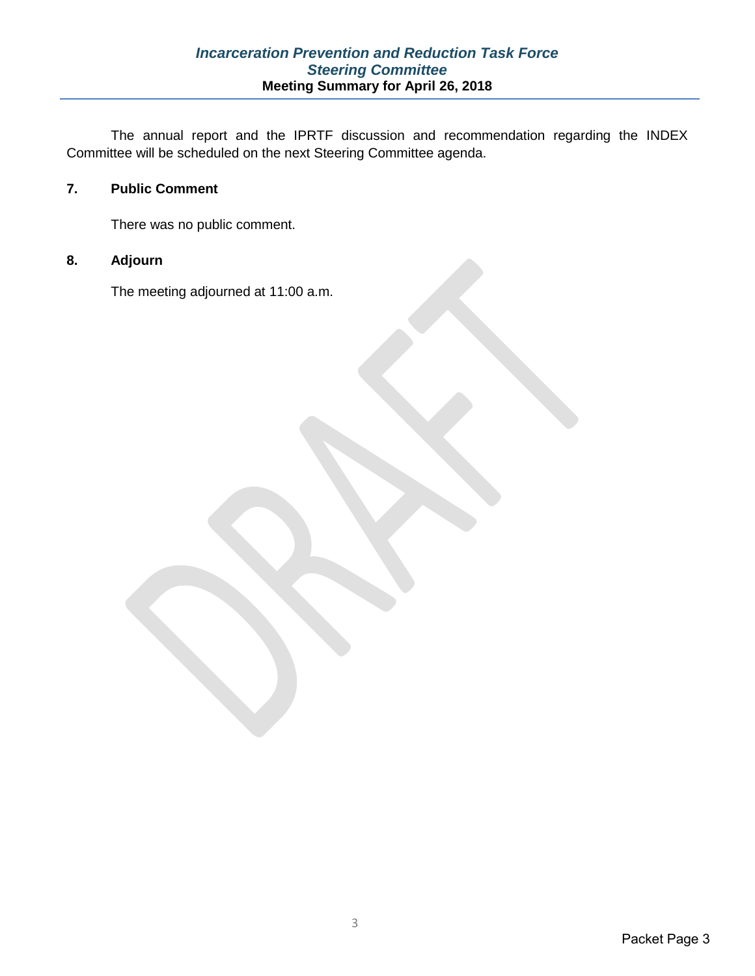The annual report and the IPRTF discussion and recommendation regarding the INDEX Committee will be scheduled on the next Steering Committee agenda.

## **7. Public Comment**

There was no public comment.

## **8. Adjourn**

The meeting adjourned at 11:00 a.m.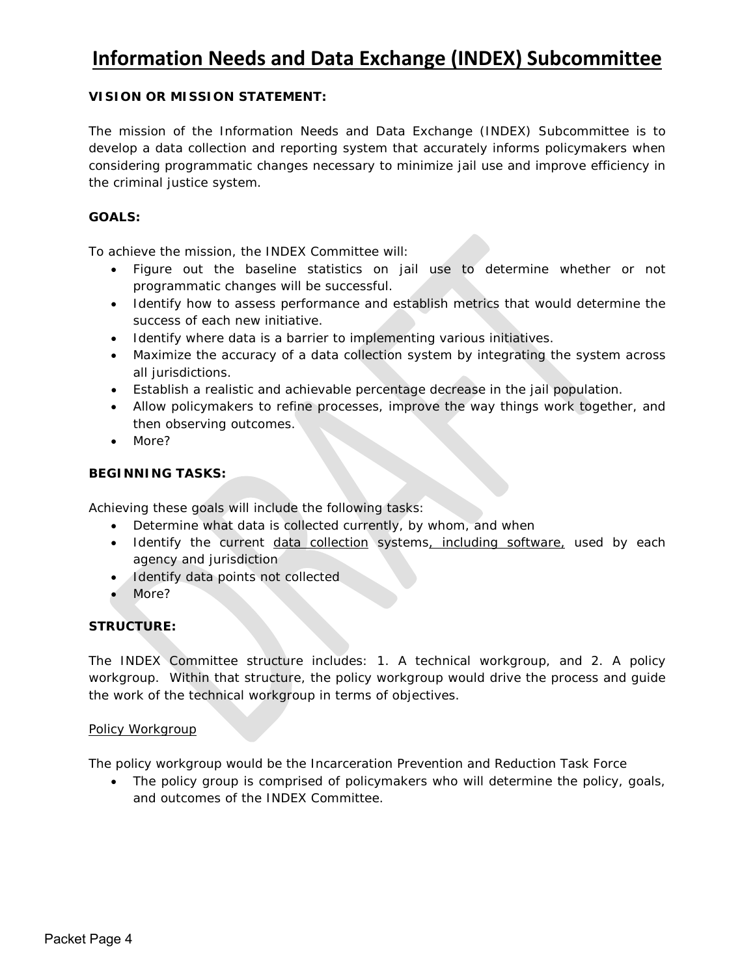## **Information Needs and Data Exchange (INDEX) Subcommittee**

## **VISION OR MISSION STATEMENT:**

The mission of the Information Needs and Data Exchange (INDEX) Subcommittee is to develop a data collection and reporting system that accurately informs policymakers when considering programmatic changes necessary to minimize jail use and improve efficiency in the criminal justice system.

## **GOALS:**

To achieve the mission, the INDEX Committee will:

- Figure out the baseline statistics on jail use to determine whether or not programmatic changes will be successful.
- Identify how to assess performance and establish metrics that would determine the success of each new initiative.
- Identify where data is a barrier to implementing various initiatives.
- Maximize the accuracy of a data collection system by integrating the system across all jurisdictions.
- Establish a realistic and achievable percentage decrease in the jail population.
- Allow policymakers to refine processes, improve the way things work together, and then observing outcomes.
- *More?*

## **BEGINNING TASKS:**

Achieving these goals will include the following tasks:

- Determine what data is collected currently, by whom, and when
- Identify the current data collection systems, including software, used by each agency and jurisdiction
- Identify data points not collected
- *More?*

## **STRUCTURE:**

The INDEX Committee structure includes: 1. A technical workgroup, and 2. A policy workgroup. Within that structure, the policy workgroup would drive the process and guide the work of the technical workgroup in terms of objectives.

#### Policy Workgroup

The policy workgroup would be the Incarceration Prevention and Reduction Task Force

• The policy group is comprised of policymakers who will determine the policy, goals, and outcomes of the INDEX Committee.